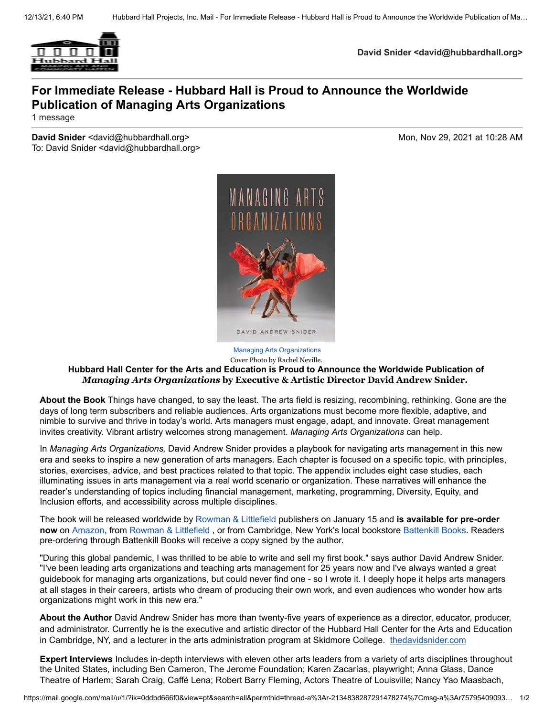

**David Snider <david@hubbardhall.org>**

## **For Immediate Release - Hubbard Hall is Proud to Announce the Worldwide Publication of Managing Arts Organizations**

1 message

**David Snider** <david@hubbardhall.org> Mon, Nov 29, 2021 at 10:28 AM To: David Snider <david@hubbardhall.org>



Cover Photo by Rachel Neville.

## **Hubbard Hall Center for the Arts and Education is Proud to Announce the Worldwide Publication of** *Managing Arts Organizations* **by Executive & Artistic Director David Andrew Snider.**

**About the Book** Things have changed, to say the least. The arts field is resizing, recombining, rethinking. Gone are the days of long term subscribers and reliable audiences. Arts organizations must become more flexible, adaptive, and nimble to survive and thrive in today's world. Arts managers must engage, adapt, and innovate. Great management invites creativity. Vibrant artistry welcomes strong management. *Managing Arts Organizations* can help.

In *Managing Arts Organizations,* David Andrew Snider provides a playbook for navigating arts management in this new era and seeks to inspire a new generation of arts managers. Each chapter is focused on a specific topic, with principles, stories, exercises, advice, and best practices related to that topic. The appendix includes eight case studies, each illuminating issues in arts management via a real world scenario or organization. These narratives will enhance the reader's understanding of topics including financial management, marketing, programming, Diversity, Equity, and Inclusion efforts, and accessibility across multiple disciplines.

The book will be released worldwide by [Rowman & Littlefield](https://rowman.com/) publishers on January 15 and **is available for pre-order now** on [Amazon](https://www.amazon.com/Managing-Organizations-David-Andrew-Snider/dp/1538160633/ref=sr_1_1?crid=1SHBRRY2XL758&keywords=managing+arts+organizations+david+snider&qid=1638155958&sprefix=Managing+Arts+Organizations%2Caps%2C195&sr=8-1), from [Rowman & Littlefield](https://rowman.com/ISBN/9781538160657/Managing-Arts-Organizations) , or from Cambridge, New York's local bookstore [Battenkill Books](https://www.battenkillbooks.com/book/9781538160640). Readers pre-ordering through Battenkill Books will receive a copy signed by the author.

"During this global pandemic, I was thrilled to be able to write and sell my first book." says author David Andrew Snider. "I've been leading arts organizations and teaching arts management for 25 years now and I've always wanted a great guidebook for managing arts organizations, but could never find one - so I wrote it. I deeply hope it helps arts managers at all stages in their careers, artists who dream of producing their own work, and even audiences who wonder how arts organizations might work in this new era."

**About the Author** David Andrew Snider has more than twenty-five years of experience as a director, educator, producer, and administrator. Currently he is the executive and artistic director of the Hubbard Hall Center for the Arts and Education in Cambridge, NY, and a lecturer in the arts administration program at Skidmore College. [thedavidsnider.com](http://thedavidsnider.com/)

**Expert Interviews** Includes in-depth interviews with eleven other arts leaders from a variety of arts disciplines throughout the United States, including Ben Cameron, The Jerome Foundation; Karen Zacarías, playwright; Anna Glass, Dance Theatre of Harlem; Sarah Craig, Caffé Lena; Robert Barry Fleming, Actors Theatre of Louisville; Nancy Yao Maasbach,